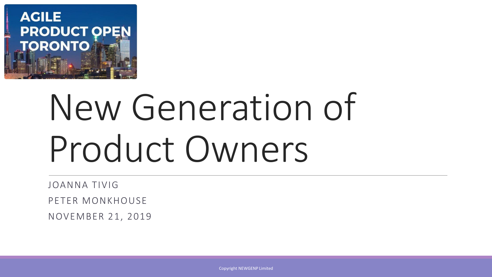

# New Generation of Product Owners

JOANNA TIVIG

PETER MONKHOUSE

NOVEMBER 21, 2019

Copyright NEWGENP Limited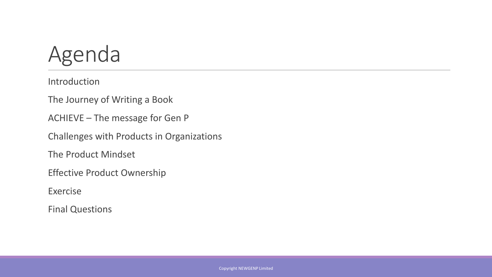#### Agenda

Introduction

The Journey of Writing a Book

ACHIEVE – The message for Gen P

Challenges with Products in Organizations

The Product Mindset

Effective Product Ownership

Exercise

Final Questions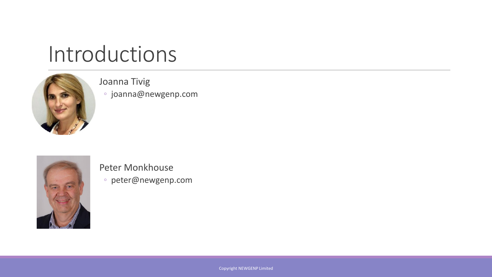#### Introductions



#### Joanna Tivig

◦ joanna@newgenp.com



#### Peter Monkhouse

◦ peter@newgenp.com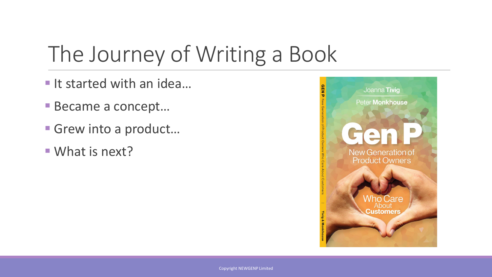### The Journey of Writing a Book

- It started with an idea...
- Became a concept...
- Grew into a product...
- What is next?

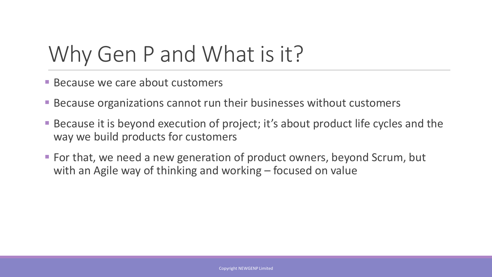#### Why Gen P and What is it?

- **E** Because we care about customers
- Because organizations cannot run their businesses without customers
- Because it is beyond execution of project; it's about product life cycles and the way we build products for customers
- For that, we need a new generation of product owners, beyond Scrum, but with an Agile way of thinking and working – focused on value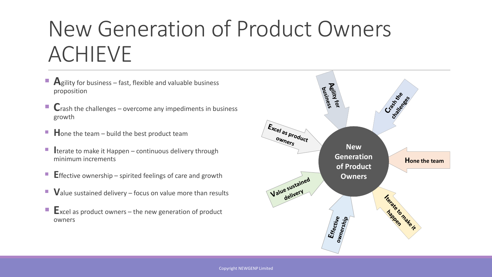#### New Generation of Product Owners ACHIEVE

- **A**gility for business fast, flexible and valuable business proposition
- Crash the challenges overcome any impediments in business growth
- **H**one the team build the best product team
- **I** terate to make it Happen continuous delivery through minimum increments
- **E** ffective ownership spirited feelings of care and growth
- Value sustained delivery focus on value more than results
- **E**xcel as product owners the new generation of product owners

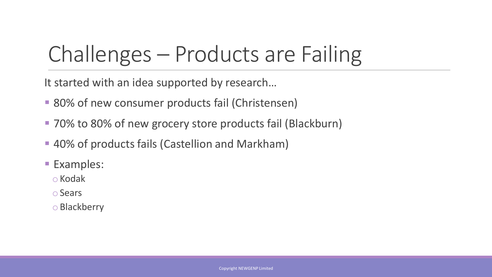### Challenges – Products are Failing

It started with an idea supported by research…

- 80% of new consumer products fail (Christensen)
- 70% to 80% of new grocery store products fail (Blackburn)
- 40% of products fails (Castellion and Markham)
- Examples:

oKodak

oSears

oBlackberry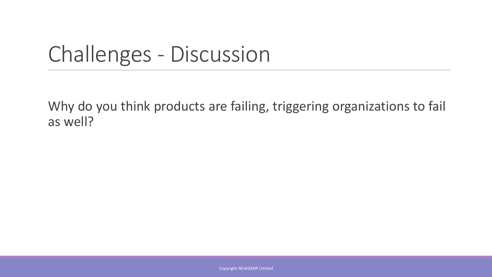#### Challenges - Discussion

Why do you think products are failing, triggering organizations to fail as well?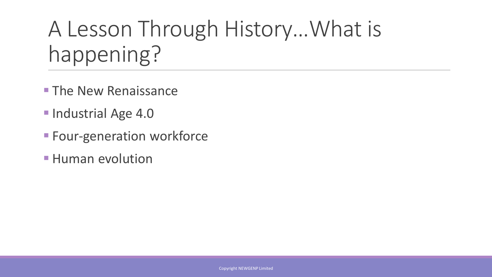#### A Lesson Through History…What is happening?

- **The New Renaissance**
- Industrial Age 4.0
- **EXEC** Four-generation workforce
- **E** Human evolution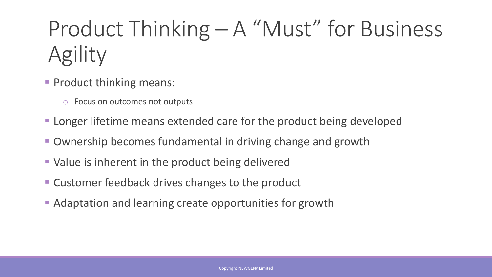### Product Thinking – A "Must" for Business Agility

- **Product thinking means:** 
	- o Focus on outcomes not outputs
- **EXTERF** Longer lifetime means extended care for the product being developed
- Ownership becomes fundamental in driving change and growth
- Value is inherent in the product being delivered
- Customer feedback drives changes to the product
- Adaptation and learning create opportunities for growth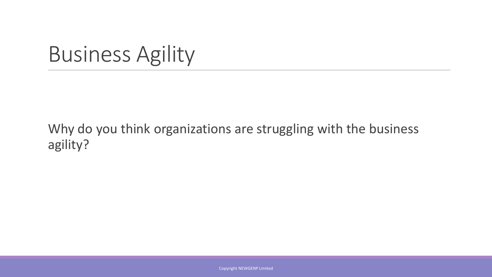#### Business Agility

#### Why do you think organizations are struggling with the business agility?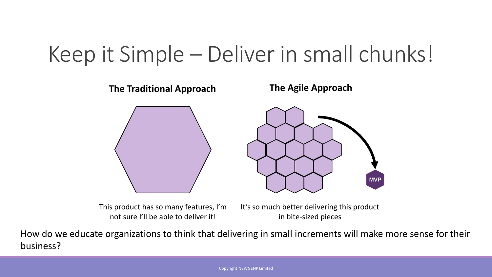#### Keep it Simple – Deliver in small chunks!



This product has so many features, I'm not sure I'll be able to deliver it!

It's so much better delivering this product in bite-sized pieces

How do we educate organizations to think that delivering in small increments will make more sense for their business?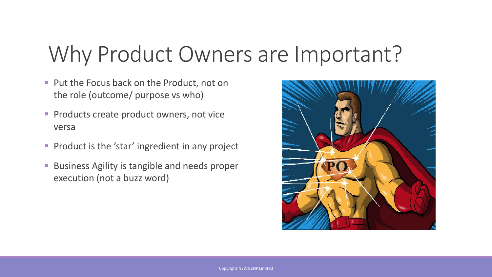#### Why Product Owners are Important?

- Put the Focus back on the Product, not on the role (outcome/ purpose vs who)
- **Products create product owners, not vice** versa
- Product is the 'star' ingredient in any project
- Business Agility is tangible and needs proper execution (not a buzz word)

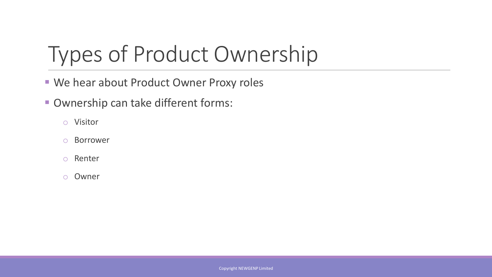### Types of Product Ownership

- We hear about Product Owner Proxy roles
- Ownership can take different forms:
	- o Visitor
	- o Borrower
	- o Renter
	- o Owner

Copyright NEWGENP Limited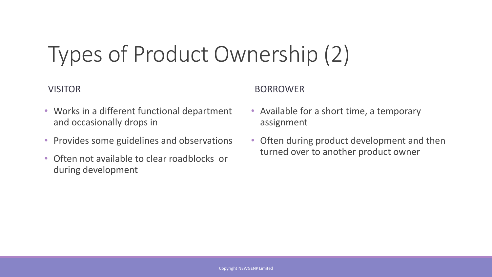## Types of Product Ownership (2)

#### VISITOR

- Works in a different functional department and occasionally drops in
- Provides some guidelines and observations
- Often not available to clear roadblocks or during development

#### BORROWER

- Available for a short time, a temporary assignment
- Often during product development and then turned over to another product owner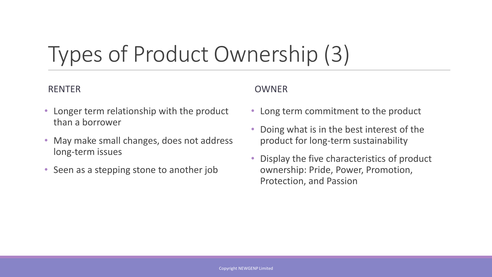### Types of Product Ownership (3)

#### RENTER

#### OWNER

- Longer term relationship with the product than a borrower
- May make small changes, does not address long-term issues
- Seen as a stepping stone to another job
- Long term commitment to the product
- Doing what is in the best interest of the product for long-term sustainability
- Display the five characteristics of product ownership: Pride, Power, Promotion, Protection, and Passion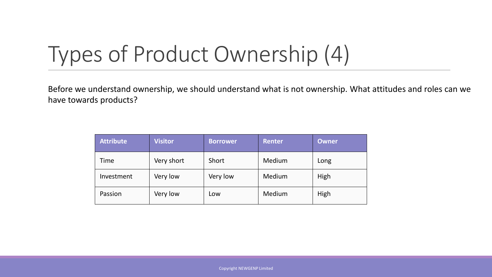### Types of Product Ownership (4)

Before we understand ownership, we should understand what is not ownership. What attitudes and roles can we have towards products?

| <b>Attribute</b> | <b>Visitor</b> | <b>Borrower</b> | <b>Renter</b> | <b>Owner</b> |
|------------------|----------------|-----------------|---------------|--------------|
| Time             | Very short     | Short           | Medium        | Long         |
| Investment       | Very low       | Very low        | Medium        | High         |
| Passion          | Very low       | Low             | Medium        | High         |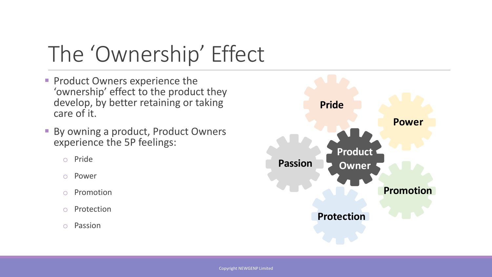### The 'Ownership' Effect

- **Product Owners experience the** 'ownership' effect to the product they develop, by better retaining or taking care of it.
- By owning a product, Product Owners experience the 5P feelings:
	- o Pride
	- o Power
	- o Promotion
	- o Protection
	- o Passion

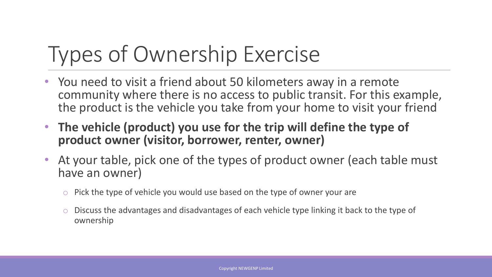## Types of Ownership Exercise

- You need to visit a friend about 50 kilometers away in a remote community where there is no access to public transit. For this example, the product is the vehicle you take from your home to visit your friend
- **The vehicle (product) you use for the trip will define the type of product owner (visitor, borrower, renter, owner)**
- At your table, pick one of the types of product owner (each table must have an owner)
	- $\circ$  Pick the type of vehicle you would use based on the type of owner your are
	- o Discuss the advantages and disadvantages of each vehicle type linking it back to the type of ownership